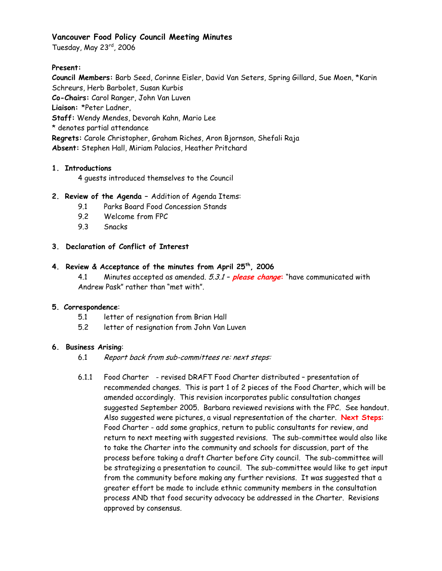### **Vancouver Food Policy Council Meeting Minutes**

Tuesday, May 23rd, 2006

### **Present:**

**Council Members:** Barb Seed, Corinne Eisler, David Van Seters, Spring Gillard, Sue Moen, \*Karin Schreurs, Herb Barbolet, Susan Kurbis **Co-Chairs:** Carol Ranger, John Van Luven **Liaison:** \*Peter Ladner, **Staff:** Wendy Mendes, Devorah Kahn, Mario Lee \* denotes partial attendance **Regrets:** Carole Christopher, Graham Riches, Aron Bjornson, Shefali Raja **Absent:** Stephen Hall, Miriam Palacios, Heather Pritchard

# **1. Introductions**

4 guests introduced themselves to the Council

## **2. Review of the Agenda –** Addition of Agenda Items:

- 9.1 Parks Board Food Concession Stands
- 9.2 Welcome from FPC
- 9.3 Snacks

## **3. Declaration of Conflict of Interest**

## **4. Review & Acceptance of the minutes from April 25th, 2006**

4.1 Minutes accepted as amended. 5.3.1 – **please change:** "have communicated with Andrew Pask" rather than "met with".

### **5. Correspondence**:

- 5.1 letter of resignation from Brian Hall
- 5.2 letter of resignation from John Van Luven

### **6. Business Arising**:

- 6.1 Report back from sub-committees re: next steps:
- 6.1.1 Food Charter revised DRAFT Food Charter distributed presentation of recommended changes. This is part 1 of 2 pieces of the Food Charter, which will be amended accordingly. This revision incorporates public consultation changes suggested September 2005. Barbara reviewed revisions with the FPC. See handout. Also suggested were pictures, a visual representation of the charter. **Next Steps**: Food Charter - add some graphics, return to public consultants for review, and return to next meeting with suggested revisions. The sub-committee would also like to take the Charter into the community and schools for discussion, part of the process before taking a draft Charter before City council. The sub-committee will be strategizing a presentation to council. The sub-committee would like to get input from the community before making any further revisions. It was suggested that a greater effort be made to include ethnic community members in the consultation process AND that food security advocacy be addressed in the Charter. Revisions approved by consensus.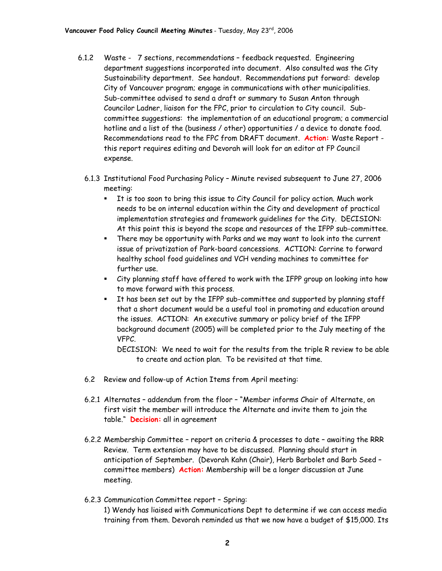- 6.1.2 Waste 7 sections, recommendations feedback requested. Engineering department suggestions incorporated into document. Also consulted was the City Sustainability department. See handout. Recommendations put forward: develop City of Vancouver program; engage in communications with other municipalities. Sub-committee advised to send a draft or summary to Susan Anton through Councilor Ladner, liaison for the FPC, prior to circulation to City council. Subcommittee suggestions: the implementation of an educational program; a commercial hotline and a list of the (business / other) opportunities / a device to donate food. Recommendations read to the FPC from DRAFT document. **Action:** Waste Report this report requires editing and Devorah will look for an editor at FP Council expense.
	- 6.1.3 Institutional Food Purchasing Policy Minute revised subsequent to June 27, 2006 meeting:
		- **It is too soon to bring this issue to City Council for policy action. Much work** needs to be on internal education within the City and development of practical implementation strategies and framework guidelines for the City. DECISION: At this point this is beyond the scope and resources of the IFPP sub-committee.
		- There may be opportunity with Parks and we may want to look into the current issue of privatization of Park-board concessions. ACTION: Corrine to forward healthy school food guidelines and VCH vending machines to committee for further use.
		- City planning staff have offered to work with the IFPP group on looking into how to move forward with this process.
		- It has been set out by the IFPP sub-committee and supported by planning staff that a short document would be a useful tool in promoting and education around the issues. ACTION: An executive summary or policy brief of the IFPP background document (2005) will be completed prior to the July meeting of the VFPC.

DECISION: We need to wait for the results from the triple R review to be able to create and action plan. To be revisited at that time.

- 6.2 Review and follow-up of Action Items from April meeting:
- 6.2.1 Alternates addendum from the floor "Member informs Chair of Alternate, on first visit the member will introduce the Alternate and invite them to join the table." **Decision:** all in agreement
- 6.2.2 Membership Committee report on criteria & processes to date awaiting the RRR Review. Term extension may have to be discussed. Planning should start in anticipation of September. (Devorah Kahn (Chair), Herb Barbolet and Barb Seed – committee members) **Action:** Membership will be a longer discussion at June meeting.
- 6.2.3 Communication Committee report Spring: 1) Wendy has liaised with Communications Dept to determine if we can access media training from them. Devorah reminded us that we now have a budget of \$15,000. Its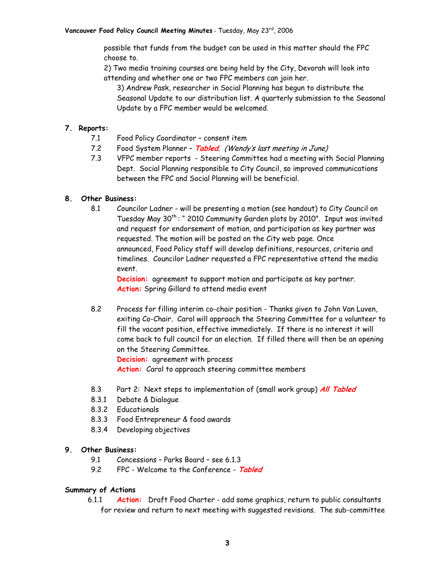possible that funds from the budget can be used in this matter should the FPC choose to.

2) Two media training courses are being held by the City, Devorah will look into attending and whether one or two FPC members can join her.

3) Andrew Pask, researcher in Social Planning has begun to distribute the Seasonal Update to our distribution list. A quarterly submission to the Seasonal Update by a FPC member would be welcomed.

### **7. Reports:**

- 7.1 Food Policy Coordinator consent item
- 7.2 Food System Planner **Tabled**. (Wendy's last meeting in June)
- 7.3 VFPC member reports Steering Committee had a meeting with Social Planning Dept. Social Planning responsible to City Council, so improved communications between the FPC and Social Planning will be beneficial.

### **8. Other Business:**

8.1 Councilor Ladner - will be presenting a motion (see handout) to City Council on Tuesday May 30<sup>th</sup>: " 2010 Community Garden plots by 2010". Input was invited and request for endorsement of motion, and participation as key partner was requested. The motion will be posted on the City web page. Once announced, Food Policy staff will develop definitions, resources, criteria and timelines. Councilor Ladner requested a FPC representative attend the media event.

**Decision:** agreement to support motion and participate as key partner. **Action:** Spring Gillard to attend media event

8.2 Process for filling interim co-chair position - Thanks given to John Van Luven, exiting Co-Chair. Carol will approach the Steering Committee for a volunteer to fill the vacant position, effective immediately. If there is no interest it will come back to full council for an election. If filled there will then be an opening on the Steering Committee. **Decision:** agreement with process

Action: Carol to approach steering committee members

- 8.3 Part 2: Next steps to implementation of (small work group) **All Tabled**
- 8.3.1 Debate & Dialogue
- 8.3.2 Educationals
- 8.3.3 Food Entrepreneur & food awards
- 8.3.4 Developing objectives

#### **9. Other Business:**

- 9.1 Concessions Parks Board see 6.1.3
- 9.2 FPC Welcome to the Conference **Tabled**

#### **Summary of Actions**

6.1.1 **Action:** Draft Food Charter - add some graphics, return to public consultants for review and return to next meeting with suggested revisions. The sub-committee